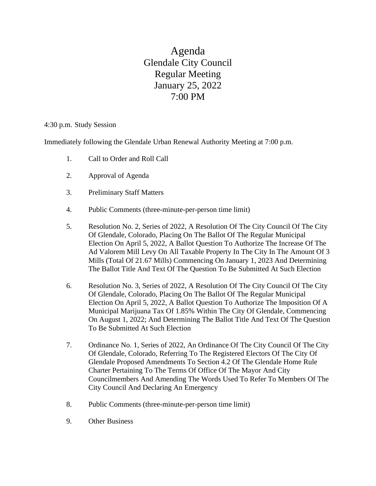Agenda Glendale City Council Regular Meeting January 25, 2022 7:00 PM

4:30 p.m. Study Session

Immediately following the Glendale Urban Renewal Authority Meeting at 7:00 p.m.

- 1. Call to Order and Roll Call
- 2. Approval of Agenda
- 3. Preliminary Staff Matters
- 4. Public Comments (three-minute-per-person time limit)
- 5. Resolution No. 2, Series of 2022, A Resolution Of The City Council Of The City Of Glendale, Colorado, Placing On The Ballot Of The Regular Municipal Election On April 5, 2022, A Ballot Question To Authorize The Increase Of The Ad Valorem Mill Levy On All Taxable Property In The City In The Amount Of 3 Mills (Total Of 21.67 Mills) Commencing On January 1, 2023 And Determining The Ballot Title And Text Of The Question To Be Submitted At Such Election
- 6. Resolution No. 3, Series of 2022, A Resolution Of The City Council Of The City Of Glendale, Colorado, Placing On The Ballot Of The Regular Municipal Election On April 5, 2022, A Ballot Question To Authorize The Imposition Of A Municipal Marijuana Tax Of 1.85% Within The City Of Glendale, Commencing On August 1, 2022; And Determining The Ballot Title And Text Of The Question To Be Submitted At Such Election
- 7. Ordinance No. 1, Series of 2022, An Ordinance Of The City Council Of The City Of Glendale, Colorado, Referring To The Registered Electors Of The City Of Glendale Proposed Amendments To Section 4.2 Of The Glendale Home Rule Charter Pertaining To The Terms Of Office Of The Mayor And City Councilmembers And Amending The Words Used To Refer To Members Of The City Council And Declaring An Emergency
- 8. Public Comments (three-minute-per-person time limit)
- 9. Other Business